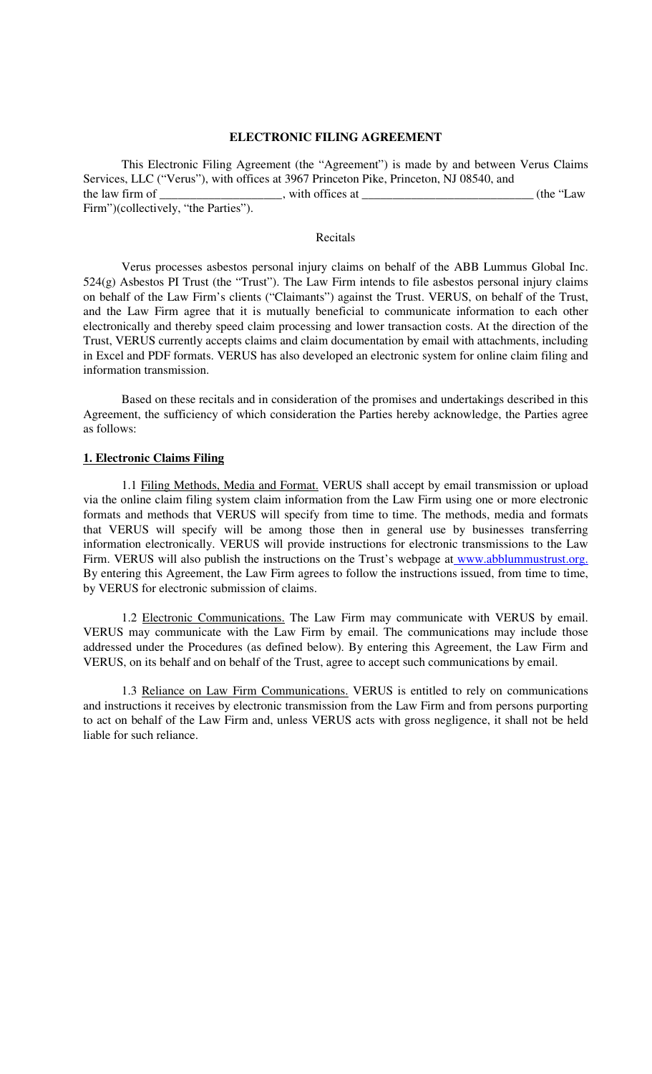#### **ELECTRONIC FILING AGREEMENT**

This Electronic Filing Agreement (the "Agreement") is made by and between Verus Claims Services, LLC ("Verus"), with offices at 3967 Princeton Pike, Princeton, NJ 08540, and the law firm of \_\_\_\_\_\_\_\_\_\_\_\_\_\_\_\_\_, with offices at \_\_\_\_\_\_\_\_\_\_\_\_\_\_\_\_\_\_\_\_\_\_\_\_\_\_\_\_(the "Law Firm")(collectively, "the Parties").

#### Recitals

Verus processes asbestos personal injury claims on behalf of the ABB Lummus Global Inc. 524(g) Asbestos PI Trust (the "Trust"). The Law Firm intends to file asbestos personal injury claims on behalf of the Law Firm's clients ("Claimants") against the Trust. VERUS, on behalf of the Trust, and the Law Firm agree that it is mutually beneficial to communicate information to each other electronically and thereby speed claim processing and lower transaction costs. At the direction of the Trust, VERUS currently accepts claims and claim documentation by email with attachments, including in Excel and PDF formats. VERUS has also developed an electronic system for online claim filing and information transmission.

Based on these recitals and in consideration of the promises and undertakings described in this Agreement, the sufficiency of which consideration the Parties hereby acknowledge, the Parties agree as follows:

### **1. Electronic Claims Filing**

1.1 Filing Methods, Media and Format. VERUS shall accept by email transmission or upload via the online claim filing system claim information from the Law Firm using one or more electronic formats and methods that VERUS will specify from time to time. The methods, media and formats that VERUS will specify will be among those then in general use by businesses transferring information electronically. VERUS will provide instructions for electronic transmissions to the Law Firm. VERUS will also publish the instructions on the Trust's webpage at www.abblummustrust.org. By entering this Agreement, the Law Firm agrees to follow the instructions issued, from time to time, by VERUS for electronic submission of claims.

1.2 Electronic Communications. The Law Firm may communicate with VERUS by email. VERUS may communicate with the Law Firm by email. The communications may include those addressed under the Procedures (as defined below). By entering this Agreement, the Law Firm and VERUS, on its behalf and on behalf of the Trust, agree to accept such communications by email.

1.3 Reliance on Law Firm Communications. VERUS is entitled to rely on communications and instructions it receives by electronic transmission from the Law Firm and from persons purporting to act on behalf of the Law Firm and, unless VERUS acts with gross negligence, it shall not be held liable for such reliance.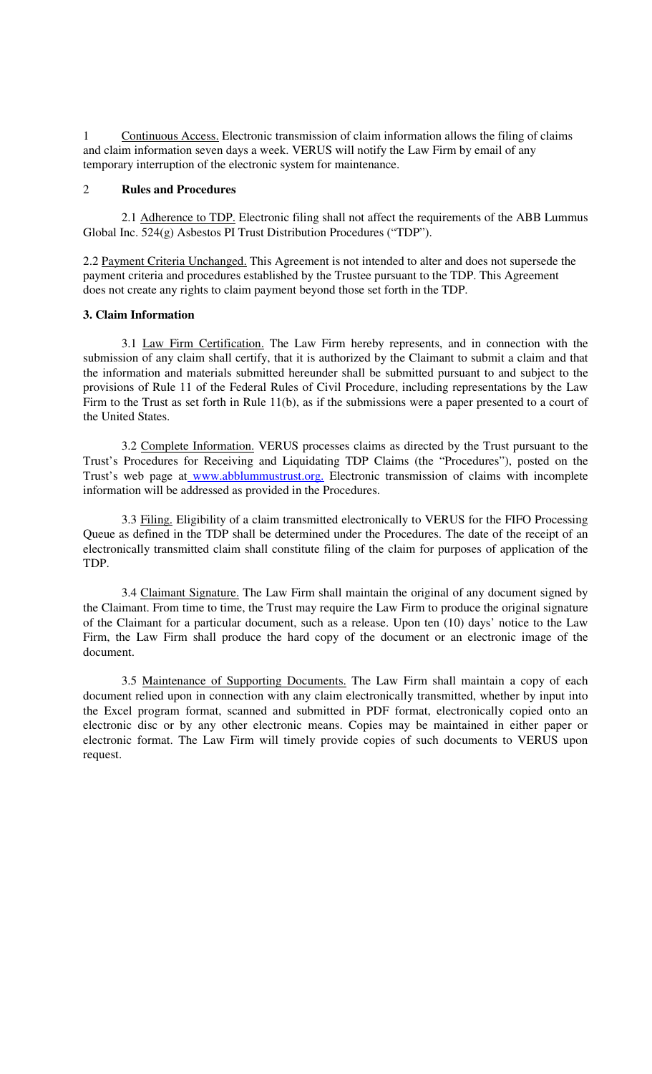1 Continuous Access. Electronic transmission of claim information allows the filing of claims and claim information seven days a week. VERUS will notify the Law Firm by email of any temporary interruption of the electronic system for maintenance.

### 2 **Rules and Procedures**

2.1 Adherence to TDP. Electronic filing shall not affect the requirements of the ABB Lummus Global Inc. 524(g) Asbestos PI Trust Distribution Procedures ("TDP").

2.2 Payment Criteria Unchanged. This Agreement is not intended to alter and does not supersede the payment criteria and procedures established by the Trustee pursuant to the TDP. This Agreement does not create any rights to claim payment beyond those set forth in the TDP.

# **3. Claim Information**

3.1 Law Firm Certification. The Law Firm hereby represents, and in connection with the submission of any claim shall certify, that it is authorized by the Claimant to submit a claim and that the information and materials submitted hereunder shall be submitted pursuant to and subject to the provisions of Rule 11 of the Federal Rules of Civil Procedure, including representations by the Law Firm to the Trust as set forth in Rule 11(b), as if the submissions were a paper presented to a court of the United States.

3.2 Complete Information. VERUS processes claims as directed by the Trust pursuant to the Trust's Procedures for Receiving and Liquidating TDP Claims (the "Procedures"), posted on the Trust's web page at www.abblummustrust.org. Electronic transmission of claims with incomplete information will be addressed as provided in the Procedures.

3.3 Filing. Eligibility of a claim transmitted electronically to VERUS for the FIFO Processing Queue as defined in the TDP shall be determined under the Procedures. The date of the receipt of an electronically transmitted claim shall constitute filing of the claim for purposes of application of the TDP.

3.4 Claimant Signature. The Law Firm shall maintain the original of any document signed by the Claimant. From time to time, the Trust may require the Law Firm to produce the original signature of the Claimant for a particular document, such as a release. Upon ten (10) days' notice to the Law Firm, the Law Firm shall produce the hard copy of the document or an electronic image of the document.

3.5 Maintenance of Supporting Documents. The Law Firm shall maintain a copy of each document relied upon in connection with any claim electronically transmitted, whether by input into the Excel program format, scanned and submitted in PDF format, electronically copied onto an electronic disc or by any other electronic means. Copies may be maintained in either paper or electronic format. The Law Firm will timely provide copies of such documents to VERUS upon request.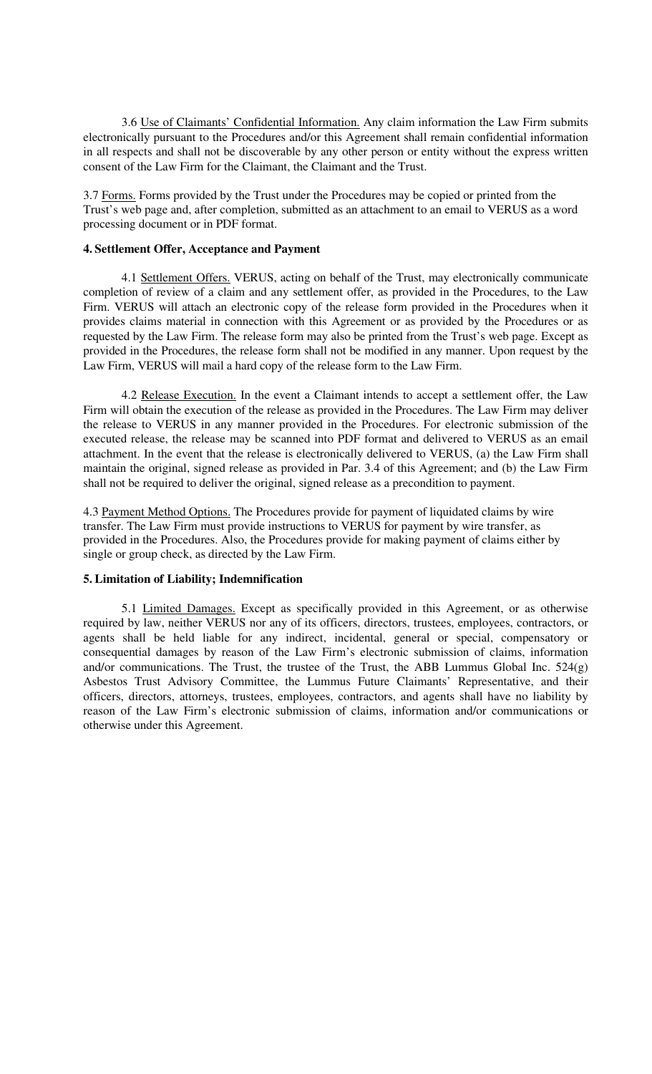3.6 Use of Claimants' Confidential Information. Any claim information the Law Firm submits electronically pursuant to the Procedures and/or this Agreement shall remain confidential information in all respects and shall not be discoverable by any other person or entity without the express written consent of the Law Firm for the Claimant, the Claimant and the Trust.

3.7 Forms. Forms provided by the Trust under the Procedures may be copied or printed from the Trust's web page and, after completion, submitted as an attachment to an email to VERUS as a word processing document or in PDF format.

### **4. Settlement Offer, Acceptance and Payment**

4.1 Settlement Offers. VERUS, acting on behalf of the Trust, may electronically communicate completion of review of a claim and any settlement offer, as provided in the Procedures, to the Law Firm. VERUS will attach an electronic copy of the release form provided in the Procedures when it provides claims material in connection with this Agreement or as provided by the Procedures or as requested by the Law Firm. The release form may also be printed from the Trust's web page. Except as provided in the Procedures, the release form shall not be modified in any manner. Upon request by the Law Firm, VERUS will mail a hard copy of the release form to the Law Firm.

4.2 Release Execution. In the event a Claimant intends to accept a settlement offer, the Law Firm will obtain the execution of the release as provided in the Procedures. The Law Firm may deliver the release to VERUS in any manner provided in the Procedures. For electronic submission of the executed release, the release may be scanned into PDF format and delivered to VERUS as an email attachment. In the event that the release is electronically delivered to VERUS, (a) the Law Firm shall maintain the original, signed release as provided in Par. 3.4 of this Agreement; and (b) the Law Firm shall not be required to deliver the original, signed release as a precondition to payment.

4.3 Payment Method Options. The Procedures provide for payment of liquidated claims by wire transfer. The Law Firm must provide instructions to VERUS for payment by wire transfer, as provided in the Procedures. Also, the Procedures provide for making payment of claims either by single or group check, as directed by the Law Firm.

### **5. Limitation of Liability; Indemnification**

5.1 Limited Damages. Except as specifically provided in this Agreement, or as otherwise required by law, neither VERUS nor any of its officers, directors, trustees, employees, contractors, or agents shall be held liable for any indirect, incidental, general or special, compensatory or consequential damages by reason of the Law Firm's electronic submission of claims, information and/or communications. The Trust, the trustee of the Trust, the ABB Lummus Global Inc. 524(g) Asbestos Trust Advisory Committee, the Lummus Future Claimants' Representative, and their officers, directors, attorneys, trustees, employees, contractors, and agents shall have no liability by reason of the Law Firm's electronic submission of claims, information and/or communications or otherwise under this Agreement.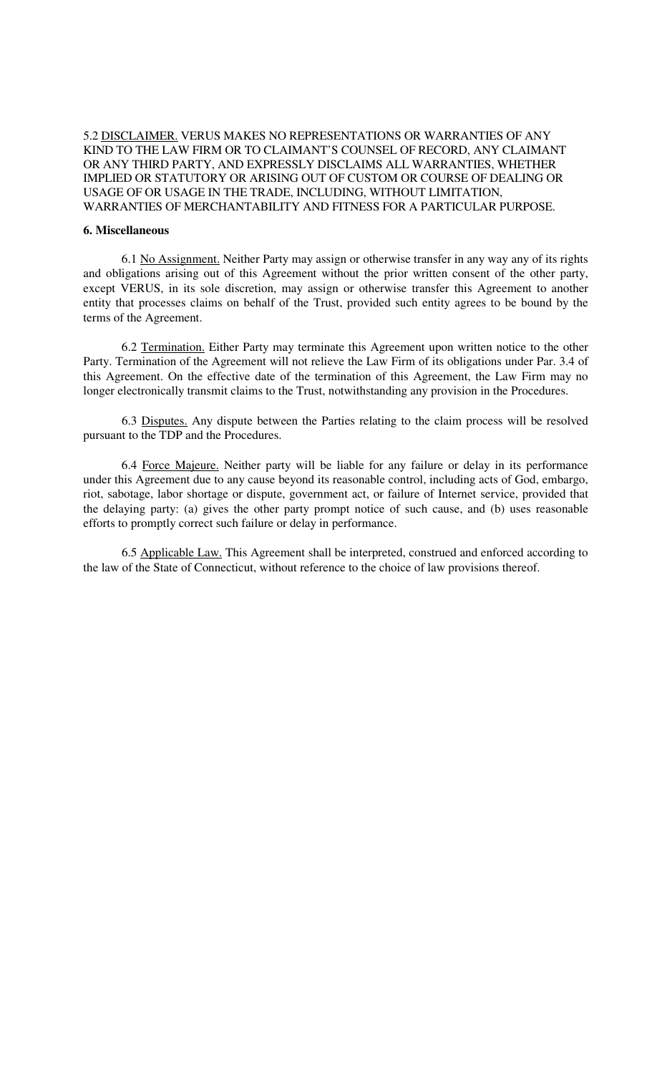# 5.2 DISCLAIMER. VERUS MAKES NO REPRESENTATIONS OR WARRANTIES OF ANY KIND TO THE LAW FIRM OR TO CLAIMANT'S COUNSEL OF RECORD, ANY CLAIMANT OR ANY THIRD PARTY, AND EXPRESSLY DISCLAIMS ALL WARRANTIES, WHETHER IMPLIED OR STATUTORY OR ARISING OUT OF CUSTOM OR COURSE OF DEALING OR USAGE OF OR USAGE IN THE TRADE, INCLUDING, WITHOUT LIMITATION, WARRANTIES OF MERCHANTABILITY AND FITNESS FOR A PARTICULAR PURPOSE.

#### **6. Miscellaneous**

6.1 No Assignment. Neither Party may assign or otherwise transfer in any way any of its rights and obligations arising out of this Agreement without the prior written consent of the other party, except VERUS, in its sole discretion, may assign or otherwise transfer this Agreement to another entity that processes claims on behalf of the Trust, provided such entity agrees to be bound by the terms of the Agreement.

6.2 Termination. Either Party may terminate this Agreement upon written notice to the other Party. Termination of the Agreement will not relieve the Law Firm of its obligations under Par. 3.4 of this Agreement. On the effective date of the termination of this Agreement, the Law Firm may no longer electronically transmit claims to the Trust, notwithstanding any provision in the Procedures.

6.3 Disputes. Any dispute between the Parties relating to the claim process will be resolved pursuant to the TDP and the Procedures.

6.4 Force Majeure. Neither party will be liable for any failure or delay in its performance under this Agreement due to any cause beyond its reasonable control, including acts of God, embargo, riot, sabotage, labor shortage or dispute, government act, or failure of Internet service, provided that the delaying party: (a) gives the other party prompt notice of such cause, and (b) uses reasonable efforts to promptly correct such failure or delay in performance.

6.5 Applicable Law. This Agreement shall be interpreted, construed and enforced according to the law of the State of Connecticut, without reference to the choice of law provisions thereof.